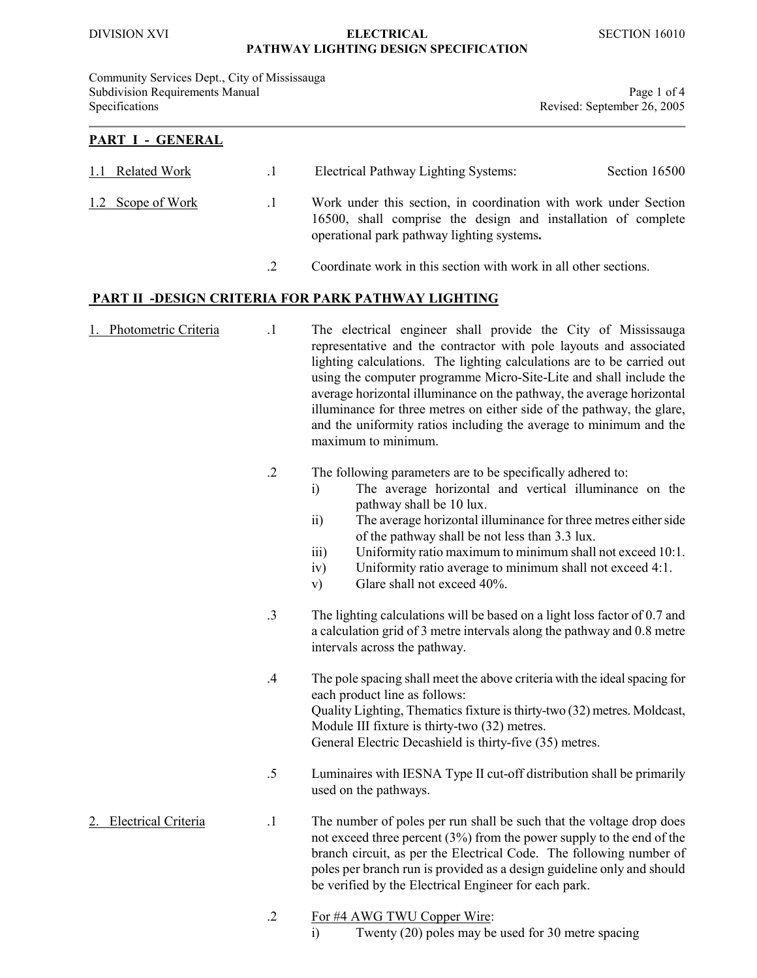#### DIVISION XVI ELECTRICAL SECTION 16010 PATHWAY LIGHTING DESIGN SPECIFICATION

Community Services Dept., City of Mississauga Subdivision Requirements Manual Page 1 of 4 Specifications **Revised:** September 26, 2005

#### PART I - GENERAL

| 1.1 Related Work  | $\cdot$ 1 | Electrical Pathway Lighting Systems:<br>Section 16500                                                                                                                           |
|-------------------|-----------|---------------------------------------------------------------------------------------------------------------------------------------------------------------------------------|
| 1.2 Scope of Work | $\cdot$ 1 | Work under this section, in coordination with work under Section<br>16500, shall comprise the design and installation of complete<br>operational park pathway lighting systems. |
|                   |           | Coordinate work in this section with work in all other sections.                                                                                                                |

# PART II -DESIGN CRITERIA FOR PARK PATHWAY LIGHTING

1. Photometric Criteria .1 The electrical engineer shall provide the City of Mississauga representative and the contractor with pole layouts and associated lighting calculations. The lighting calculations are to be carried out using the computer programme Micro-Site-Lite and shall include the average horizontal illuminance on the pathway, the average horizontal illuminance for three metres on either side of the pathway, the glare, and the uniformity ratios including the average to minimum and the maximum to minimum.

### .2 The following parameters are to be specifically adhered to:

- i) The average horizontal and vertical illuminance on the pathway shall be 10 lux.
- ii) The average horizontal illuminance for three metres either side of the pathway shall be not less than 3.3 lux.
- iii) Uniformity ratio maximum to minimum shall not exceed 10:1.
- iv) Uniformity ratio average to minimum shall not exceed 4:1.
- v) Glare shall not exceed 40%.
- .3 The lighting calculations will be based on a light loss factor of 0.7 and a calculation grid of 3 metre intervals along the pathway and 0.8 metre intervals across the pathway.
- .4 The pole spacing shall meet the above criteria with the ideal spacing for each product line as follows: Quality Lighting, Thematics fixture is thirty-two (32) metres. Moldcast, Module III fixture is thirty-two (32) metres. General Electric Decashield is thirty-five (35) metres.
- .5 Luminaires with IESNA Type II cut-off distribution shall be primarily used on the pathways.
- 2. Electrical Criteria .1 The number of poles per run shall be such that the voltage drop does not exceed three percent (3%) from the power supply to the end of the branch circuit, as per the Electrical Code. The following number of poles per branch run is provided as a design guideline only and should be verified by the Electrical Engineer for each park.

# .2 For #4 AWG TWU Copper Wire:

i) Twenty (20) poles may be used for 30 metre spacing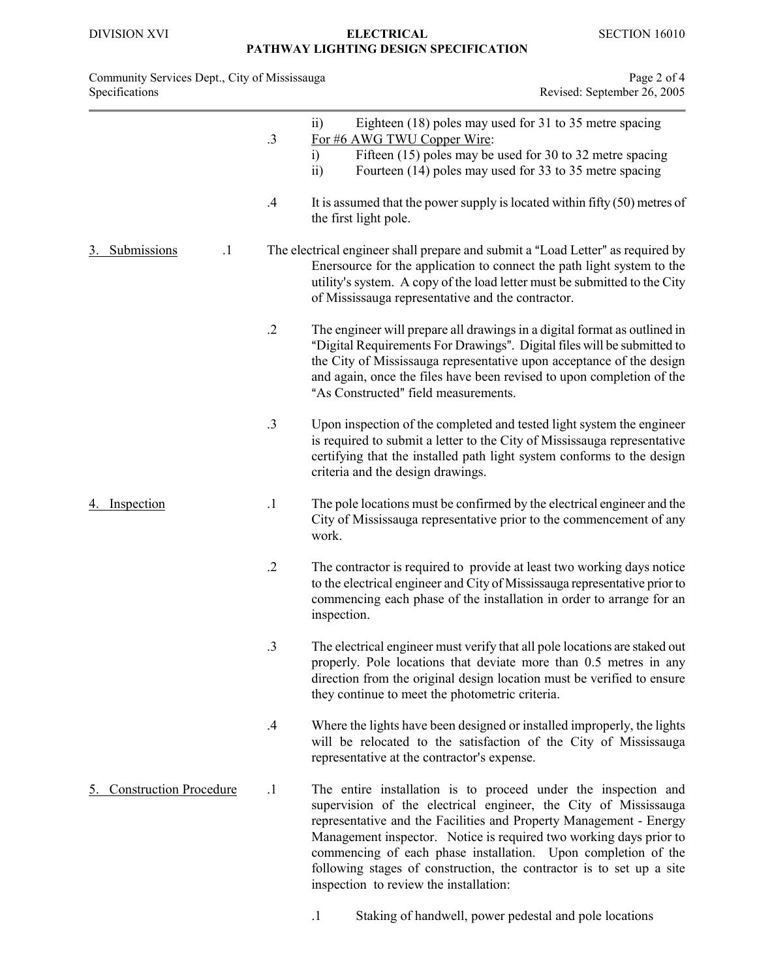#### DIVISION XVI ELECTRICAL SECTION 16010 PATHWAY LIGHTING DESIGN SPECIFICATION

| Community Services Dept., City of Mississauga | Page 2 of 4                 |
|-----------------------------------------------|-----------------------------|
| Specifications                                | Revised: September 26, 2005 |

|                               | .3         | Eighteen (18) poles may used for 31 to 35 metre spacing<br>$\overline{11}$<br>For #6 AWG TWU Copper Wire:<br>Fifteen (15) poles may be used for 30 to 32 metre spacing<br>i)<br>Fourteen (14) poles may used for 33 to 35 metre spacing<br>$\overline{ii}$                                                                                                                                                                                                       |
|-------------------------------|------------|------------------------------------------------------------------------------------------------------------------------------------------------------------------------------------------------------------------------------------------------------------------------------------------------------------------------------------------------------------------------------------------------------------------------------------------------------------------|
|                               | .4         | It is assumed that the power supply is located within fifty $(50)$ metres of<br>the first light pole.                                                                                                                                                                                                                                                                                                                                                            |
| Submissions<br>$\cdot$ 1      |            | The electrical engineer shall prepare and submit a "Load Letter" as required by<br>Enersource for the application to connect the path light system to the<br>utility's system. A copy of the load letter must be submitted to the City<br>of Mississauga representative and the contractor.                                                                                                                                                                      |
|                               | $\cdot$ .2 | The engineer will prepare all drawings in a digital format as outlined in<br>"Digital Requirements For Drawings". Digital files will be submitted to<br>the City of Mississauga representative upon acceptance of the design<br>and again, once the files have been revised to upon completion of the<br>"As Constructed" field measurements.                                                                                                                    |
|                               | .3         | Upon inspection of the completed and tested light system the engineer<br>is required to submit a letter to the City of Mississauga representative<br>certifying that the installed path light system conforms to the design<br>criteria and the design drawings.                                                                                                                                                                                                 |
| Inspection                    | $\cdot$ 1  | The pole locations must be confirmed by the electrical engineer and the<br>City of Mississauga representative prior to the commencement of any<br>work.                                                                                                                                                                                                                                                                                                          |
|                               | $\cdot$    | The contractor is required to provide at least two working days notice<br>to the electrical engineer and City of Mississauga representative prior to<br>commencing each phase of the installation in order to arrange for an<br>inspection.                                                                                                                                                                                                                      |
|                               | .3         | The electrical engineer must verify that all pole locations are staked out<br>properly. Pole locations that deviate more than 0.5 metres in any<br>direction from the original design location must be verified to ensure<br>they continue to meet the photometric criteria.                                                                                                                                                                                     |
|                               | .4         | Where the lights have been designed or installed improperly, the lights<br>will be relocated to the satisfaction of the City of Mississauga<br>representative at the contractor's expense.                                                                                                                                                                                                                                                                       |
| <b>Construction Procedure</b> | $\cdot$ 1  | The entire installation is to proceed under the inspection and<br>supervision of the electrical engineer, the City of Mississauga<br>representative and the Facilities and Property Management - Energy<br>Management inspector. Notice is required two working days prior to<br>commencing of each phase installation. Upon completion of the<br>following stages of construction, the contractor is to set up a site<br>inspection to review the installation: |

.1 Staking of handwell, power pedestal and pole locations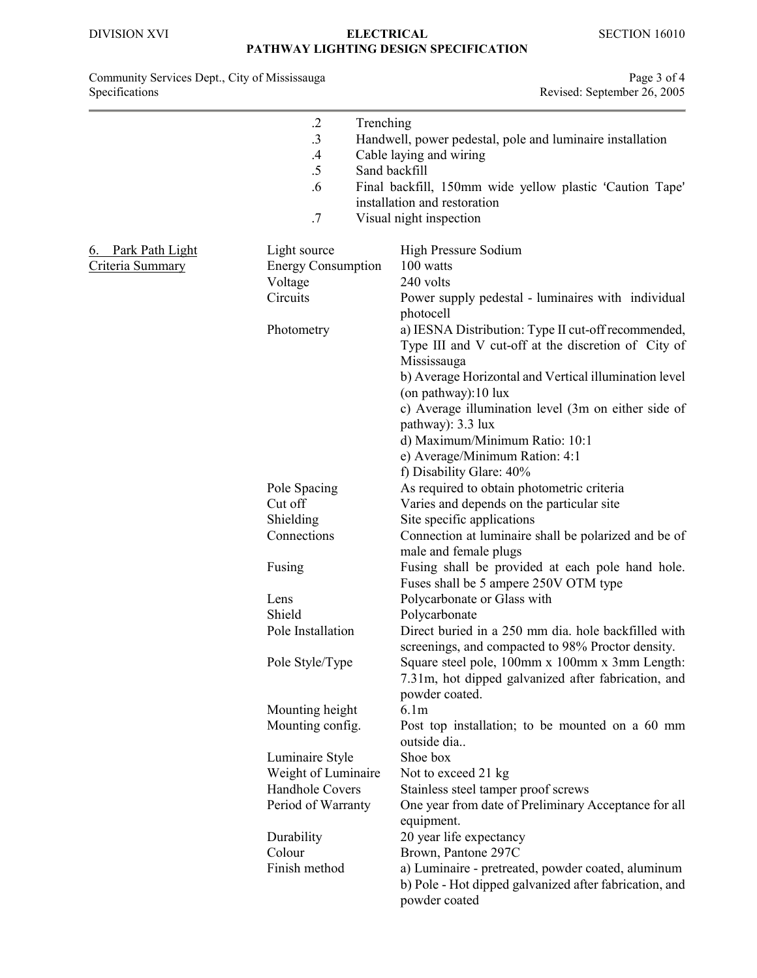### DIVISION XVI ELECTRICAL SECTION 16010 PATHWAY LIGHTING DESIGN SPECIFICATION

#### Community Services Dept., City of Mississauga **Page 3** of 4 Specifications **Revised:** September 26, 2005

|                                        | $\cdot$ .2<br>.3<br>$\cdot$<br>.5<br>.6<br>.7                                   | Trenching<br>Sand backfill | Handwell, power pedestal, pole and luminaire installation<br>Cable laying and wiring<br>Final backfill, 150mm wide yellow plastic 'Caution Tape'<br>installation and restoration<br>Visual night inspection                                                                                                                                               |  |
|----------------------------------------|---------------------------------------------------------------------------------|----------------------------|-----------------------------------------------------------------------------------------------------------------------------------------------------------------------------------------------------------------------------------------------------------------------------------------------------------------------------------------------------------|--|
| 6. Park Path Light<br>Criteria Summary | Light source<br><b>Energy Consumption</b><br>Voltage<br>Circuits<br>Photometry  |                            | High Pressure Sodium<br>100 watts<br>240 volts<br>Power supply pedestal - luminaires with individual<br>photocell<br>a) IESNA Distribution: Type II cut-off recommended,<br>Type III and V cut-off at the discretion of City of<br>Mississauga<br>b) Average Horizontal and Vertical illumination level<br>(on pathway):10 lux                            |  |
|                                        | Pole Spacing<br>Cut off<br>Shielding<br>Connections                             |                            | c) Average illumination level (3m on either side of<br>pathway): 3.3 lux<br>d) Maximum/Minimum Ratio: 10:1<br>e) Average/Minimum Ration: 4:1<br>f) Disability Glare: 40%<br>As required to obtain photometric criteria<br>Varies and depends on the particular site<br>Site specific applications<br>Connection at luminaire shall be polarized and be of |  |
|                                        | Fusing<br>Lens<br>Shield<br>Pole Installation                                   |                            | male and female plugs<br>Fusing shall be provided at each pole hand hole.<br>Fuses shall be 5 ampere 250V OTM type<br>Polycarbonate or Glass with<br>Polycarbonate<br>Direct buried in a 250 mm dia. hole backfilled with<br>screenings, and compacted to 98% Proctor density.                                                                            |  |
|                                        | Pole Style/Type<br>Mounting height<br>Mounting config.                          |                            | Square steel pole, 100mm x 100mm x 3mm Length:<br>7.31m, hot dipped galvanized after fabrication, and<br>powder coated.<br>6.1 <sub>m</sub><br>Post top installation; to be mounted on a 60 mm<br>outside dia                                                                                                                                             |  |
|                                        | Luminaire Style<br>Weight of Luminaire<br>Handhole Covers<br>Period of Warranty |                            | Shoe box<br>Not to exceed 21 kg<br>Stainless steel tamper proof screws<br>One year from date of Preliminary Acceptance for all<br>equipment.                                                                                                                                                                                                              |  |
|                                        | Durability<br>Colour<br>Finish method                                           |                            | 20 year life expectancy<br>Brown, Pantone 297C<br>a) Luminaire - pretreated, powder coated, aluminum<br>b) Pole - Hot dipped galvanized after fabrication, and<br>powder coated                                                                                                                                                                           |  |